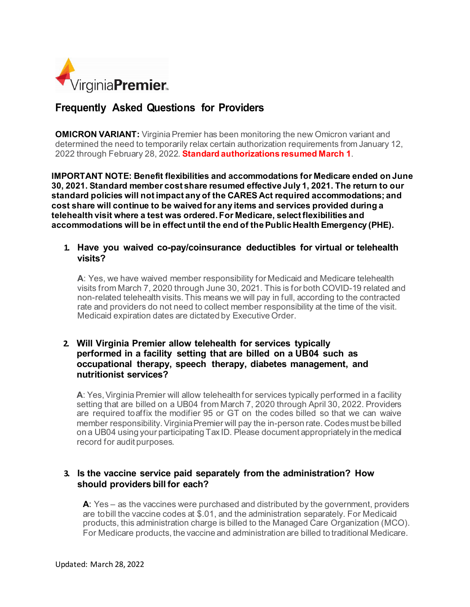

# **Frequently Asked Questions for Providers**

**OMICRON VARIANT:** Virginia Premier has been monitoring the new Omicron variant and determined the need to temporarily relax certain authorization requirements from January 12, 2022 through February 28, 2022. **Standard authorizations resumed March 1**.

**IMPORTANT NOTE: Benefit flexibilities and accommodations for Medicare ended on June 30, 2021. Standard member cost share resumed effective July 1, 2021. The return to our standard policies will not impact any of the CARES Act required accommodations; and cost share will continue to be waived for any items and services provided during a telehealth visit where a test was ordered. For Medicare, select flexibilities and accommodations will be in effect until the end of the Public Health Emergency (PHE).**

#### **1. Have you waived co-pay/coinsurance deductibles for virtual or telehealth visits?**

**A**: Yes, we have waived member responsibility for Medicaid and Medicare telehealth visits from March 7, 2020 through June 30, 2021. This is for both COVID-19 related and non-related telehealth visits.This means we will pay in full, according to the contracted rate and providers do not need to collect member responsibility at the time of the visit. Medicaid expiration dates are dictated by Executive Order.

#### **2. Will Virginia Premier allow telehealth for services typically performed in a facility setting that are billed on a UB04 such as occupational therapy, speech therapy, diabetes management, and nutritionist services?**

A: Yes, Virginia Premier will allow telehealth for services typically performed in a facility setting that are billed on a UB04 from March 7, 2020 through April 30, 2022. Providers are required toaffix the modifier 95 or GT on the codes billed so that we can waive member responsibility.Virginia Premier will pay the in-person rate. Codes must be billed on a UB04 using your participating Tax ID. Please document appropriately in the medical record for audit purposes.

# **3. Is the vaccine service paid separately from the administration? How should providers bill for each?**

**A**: Yes – as the vaccines were purchased and distributed by the government, providers are tobill the vaccine codes at \$.01, and the administration separately. For Medicaid products, this administration charge is billed to the Managed Care Organization (MCO). For Medicare products, the vaccine and administration are billed to traditional Medicare.